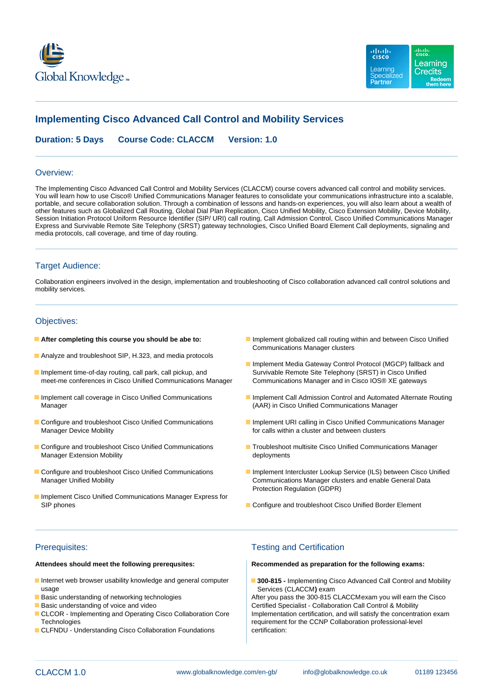



# **Implementing Cisco Advanced Call Control and Mobility Services**

**Duration: 5 Days Course Code: CLACCM Version: 1.0**

### Overview:

The Implementing Cisco Advanced Call Control and Mobility Services (CLACCM) course covers advanced call control and mobility services. You will learn how to use Cisco® Unified Communications Manager features to consolidate your communications infrastructure into a scalable, portable, and secure collaboration solution. Through a combination of lessons and hands-on experiences, you will also learn about a wealth of other features such as Globalized Call Routing, Global Dial Plan Replication, Cisco Unified Mobility, Cisco Extension Mobility, Device Mobility, Session Initiation Protocol Uniform Resource Identifier (SIP/ URI) call routing, Call Admission Control, Cisco Unified Communications Manager Express and Survivable Remote Site Telephony (SRST) gateway technologies, Cisco Unified Board Element Call deployments, signaling and media protocols, call coverage, and time of day routing.

## Target Audience:

Collaboration engineers involved in the design, implementation and troubleshooting of Cisco collaboration advanced call control solutions and mobility services.

## Objectives:

- 
- Analyze and troubleshoot SIP, H.323, and media protocols
- Implement time-of-day routing, call park, call pickup, and Survivable Remote Site Telephony (SRST) in Cisco Unified meet-me conferences in Cisco Unified Communications Manager Communications Manager and in Cisco IOS® XE gateways
- Manager (AAR) in Cisco Unified Communications Manager
- 
- Manager Extension Mobility and the control of the deployments
- 
- **Implement Cisco Unified Communications Manager Express for** SIP phones **Configure and troubleshoot Cisco Unified Border Element** Configure and troubleshoot Cisco Unified Border Element
- **After completing this course you should be abe to:** Implement globalized call routing within and between Cisco Unified Communications Manager clusters
	- **Implement Media Gateway Control Protocol (MGCP) fallback and**
- Implement call coverage in Cisco Unified Communications Implement Call Admission Control and Automated Alternate Routing
- Configure and troubleshoot Cisco Unified Communications Implement URI calling in Cisco Unified Communications Manager<br>
For calls within a cluster and between clusters for calls within a cluster and between clusters
- Configure and troubleshoot Cisco Unified Communications Troubleshoot multisite Cisco Unified Communications Manager
- Configure and troubleshoot Cisco Unified Communications **Implement Intercluster Lookup Service (ILS) between Cisco Unified** Manager Unified Mobility Communications Manager clusters and enable General Data Protection Regulation (GDPR)
	-

### **Attendees should meet the following prerequsites: Recommended as preparation for the following exams:**

- usage **Services (CLACCM)** exam
- 
- 
- Technologies **requirement for the CCNP Collaboration professional-level**
- CLFNDU Understanding Cisco Collaboration Foundations certification:

## Prerequisites: Testing and Certification

Internet web browser usability knowledge and general computer **300-815 -** Implementing Cisco Advanced Call Control and Mobility

**Basic understanding of networking technologies** After you pass the 300-815 CLACCMexam you will earn the Cisco ■ Basic understanding of voice and video Certified Specialist - Collaboration Call Control & Mobility CLCOR - Implementing and Operating Cisco Collaboration Core Implementation certification, and will satisfy the concentration exam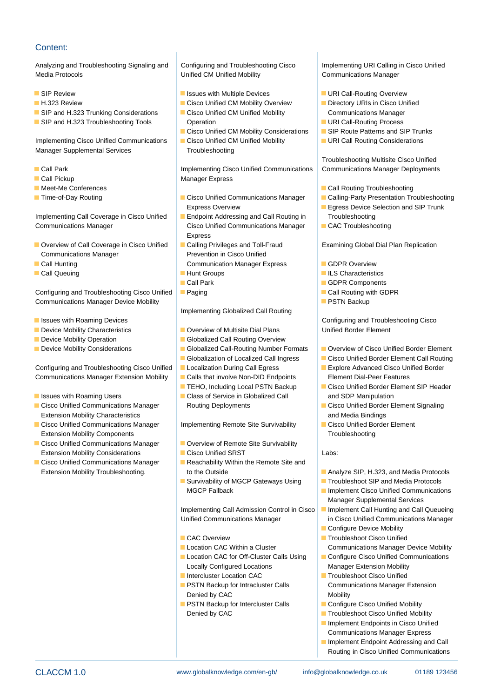## Content:

Analyzing and Troubleshooting Signaling and Configuring and Troubleshooting Cisco Implementing URI Calling in Cisco Unified Media Protocols **Network Communications Manager** Unified CM Unified Mobility **Communications Manager** 

- 
- 
- 
- **SIP and H.323 Troubleshooting Tools Contact Contact Contact Contact Call-Routing Process**

Implementing Cisco Unified Communications Cisco Unified CM Unified Mobility COM Call Routing Considerations Manager Supplemental Services Troubleshooting

- 
- 
- 
- 

Implementing Call Coverage in Cisco Unified Endpoint Addressing and Call Routing in Troubleshooting Communications Manager Cisco Unified Communications Manager CAC Troubleshooting

- Overview of Call Coverage in Cisco Unified Calling Privileges and Toll-Fraud Examining Global Dial Plan Replication Communications Manager **Prevention in Cisco Unified** Prevention in Cisco Unified
- 
- 

Configuring and Troubleshooting Cisco Unified Paging Call Routing with GDPR Communications Manager Device Mobility **PSTN Backup PSTN Backup** 

- 
- Device Mobility Characteristics **Device Act Arizon Coverview of Multisite Dial Plans** Unified Border Element
- 
- 

Configuring and Troubleshooting Cisco Unified Localization During Call Egress Explore Advanced Cisco Unified Border Communications Manager Extension Mobility Calls that involve Non-DID Endpoints Element Dial-Peer Features

- **Issues with Roaming Users Class of Service in Globalized Call and SDP Manipulation**
- Extension Mobility Characteristics **and Media Bindings** and Media Bindings
- Cisco Unified Communications Manager | Implementing Remote Site Survivability | Cisco Unified Border Element Extension Mobility Components and the Line Troubleshooting in the Troubleshooting in Troubleshooting
- Extension Mobility Considerations **Cisco Unified SRST** Labs:
- **Cisco Unified Communications Manager Reachability Within the Remote Site and lines**

**ISSUE Review ISSUES ARE ISSUES WITH Multiple Devices ISSUES AND INCOLLERATION** Overview

line line line

- **H.323 Review Cisco Unified CM Mobility Overview Circle Directory URIs in Cisco Unified CM Mobility Overview** SIP and H.323 Trunking Considerations **CISC** Cisco Unified CM Unified Mobility Communications Manager
	- Cisco Unified CM Mobility Considerations  $\Box$  SIP Route Patterns and SIP Trunks
	-

**Inplementing Cisco Unified Communications Communications Manager Deployments** Call Park Indian Pennets and Manager Deployments **Call Pickup Manager Express Manager Express** 

- Time-of-Day Routing Cisco Unified Communications Manager Calling-Party Presentation Troubleshooting
	- Express
	-
- **Call Hunting Communication Manager Express** GDPR Overview
	-
	-
	-

Implementing Globalized Call Routing

- 
- Device Mobility Operation Globalized Call Routing Overview
	-
	-
	-
	-
	-
	-

- Cisco Unified Communications Manager **Overview of Remote Site Survivability** 
	-
	-
	- Survivability of MGCP Gateways Using Troubleshoot SIP and Media Protocols

Unified Communications Manager **in Cisco Unified Communications Manager** 

- 
- 
- Locally Configured Locations Manager Extension Mobility
- 
- Denied by CAC Mobility
- **PSTN Backup for Intercluster Calls** Configure Cisco Unified Mobility

- 
- 
- 
- 
- 

Troubleshooting Multisite Cisco Unified

- Meet-Me Conferences line Call Routing Troubleshooting line Call Routing Troubleshooting line Call Routing Troubleshooting
	-
	- Express Overview **Express** Overview **Express Device Selection and SIP Trunk** 
		-

- 
- **Call Queuing Call Characteristics Hunt Groups ILS Characteristics** 
	- GDPR Components
		-
		-

**Issues with Roaming Devices** and Troubleshooting Cisco line Configuring and Troubleshooting Cisco **Intervalse Configuring Act 2016** 

- Device Mobility Considerations Globalized Call-Routing Number Formats Gloverview of Cisco Unified Border Element
	- Globalization of Localized Call Ingress **Cisco Unified Border Element Call Routing** 
		-
	- **IFLAO, Including Local PSTN Backup** Cisco Unified Border Element SIP Header
- Cisco Unified Communications Manager Routing Deployments Cisco Unified Border Element Signaling
	-

- Extension Mobility Troubleshooting. The Cutside Analyze SIP, H.323, and Media Protocols
	-
	- **IMGCP Fallback Implement Cisco Unified Communications** Manager Supplemental Services
	- Implementing Call Admission Control in Cisco **II Implement Call Hunting and Call Queueing** 
		- **Configure Device Mobility**
	- CAC Overview Troubleshoot Cisco Unified **Location CAC Within a Cluster Communications Manager Device Mobility**
	- Location CAC for Off-Cluster Calls Using | Configure Cisco Unified Communications
	- Intercluster Location CAC Troubleshoot Cisco Unified **PSTN Backup for Intracluster Calls** Communications Manager Extension
		-
		- Denied by CAC **Troubleshoot Cisco Unified Mobility** 
			- **Implement Endpoints in Cisco Unified** Communications Manager Express
			- **Implement Endpoint Addressing and Call** Routing in Cisco Unified Communications